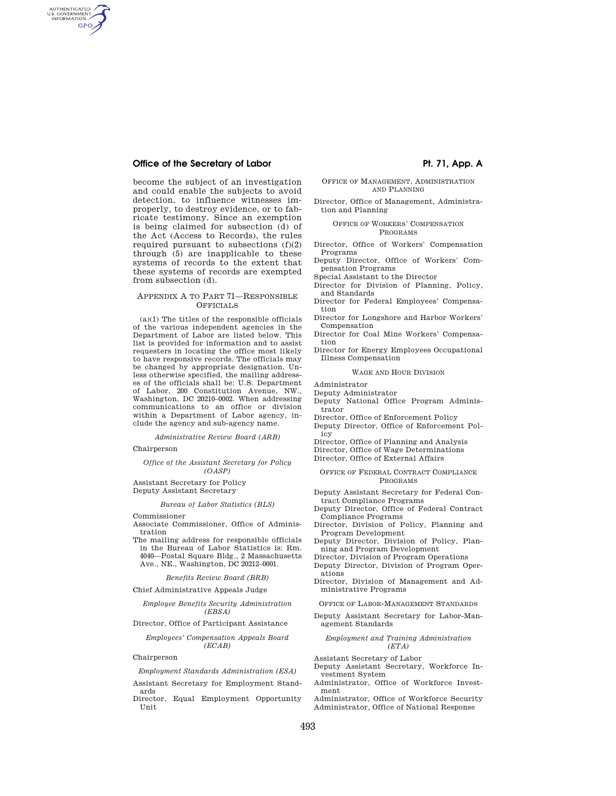AUTHENTICATED<br>U.S. GOVERNMENT<br>INFORMATION **GPO** 

> become the subject of an investigation and could enable the subjects to avoid detection, to influence witnesses improperly, to destroy evidence, or to fabricate testimony. Since an exemption is being claimed for subsection (d) of the Act (Access to Records), the rules required pursuant to subsections  $(f)(2)$ through (5) are inapplicable to these systems of records to the extent that these systems of records are exempted from subsection (d).

## APPENDIX A TO PART 71—RESPONSIBLE **OFFICIALS**

(a)(1) The titles of the responsible officials of the various independent agencies in the Department of Labor are listed below. This list is provided for information and to assist requesters in locating the office most likely to have responsive records. The officials may be changed by appropriate designation. Unless otherwise specified, the mailing addresses of the officials shall be: U.S. Department of Labor, 200 Constitution Avenue, NW., Washington, DC 20210–0002. When addressing communications to an office or division within a Department of Labor agency, include the agency and sub-agency name.

*Administrative Review Board (ARB)* 

Chairperson

## *Office of the Assistant Secretary for Policy (OASP)*

Assistant Secretary for Policy Deputy Assistant Secretary

## *Bureau of Labor Statistics (BLS)*

Commissioner

- Associate Commissioner, Office of Administration
- The mailing address for responsible officials in the Bureau of Labor Statistics is: Rm. 4040—Postal Square Bldg., 2 Massachusetts Ave., NE., Washington, DC 20212–0001.

## *Benefits Review Board (BRB)*

Chief Administrative Appeals Judge

## *Employee Benefits Security Administration (EBSA)*

Director, Office of Participant Assistance

#### *Employees' Compensation Appeals Board (ECAB)*

## Chairperson

*Employment Standards Administration (ESA)* 

- Assistant Secretary for Employment Standards
- Director, Equal Employment Opportunity Unit

## OFFICE OF MANAGEMENT, ADMINISTRATION AND PLANNING

Director, Office of Management, Administration and Planning

### OFFICE OF WORKERS' COMPENSATION PROGRAMS

- Director, Office of Workers' Compensation Programs
- Deputy Director, Office of Workers' Compensation Programs
- Special Assistant to the Director
- Director for Division of Planning, Policy, and Standards
- Director for Federal Employees' Compensation
- Director for Longshore and Harbor Workers' Compensation
- Director for Coal Mine Workers' Compensation
- Director for Energy Employees Occupational Illness Compensation

#### WAGE AND HOUR DIVISION

#### Administrator

- Deputy Administrator
- Deputy National Office Program Adminis-
- trator Director, Office of Enforcement Policy
- 
- Deputy Director, Office of Enforcement Policy
- Director, Office of Planning and Analysis
- Director, Office of Wage Determinations
- Director, Office of External Affairs

## OFFICE OF FEDERAL CONTRACT COMPLIANCE PROGRAMS

- Deputy Assistant Secretary for Federal Contract Compliance Programs
- Deputy Director, Office of Federal Contract Compliance Programs
- Director, Division of Policy, Planning and Program Development
- Deputy Director, Division of Policy, Planning and Program Development
- Director, Division of Program Operations
- Deputy Director, Division of Program Operations
- Director, Division of Management and Administrative Programs

OFFICE OF LABOR-MANAGEMENT STANDARDS

Deputy Assistant Secretary for Labor-Management Standards

### *Employment and Training Administration (ETA)*

Assistant Secretary of Labor

- Deputy Assistant Secretary, Workforce Investment System
- Administrator, Office of Workforce Investment
- Administrator, Office of Workforce Security Administrator, Office of National Response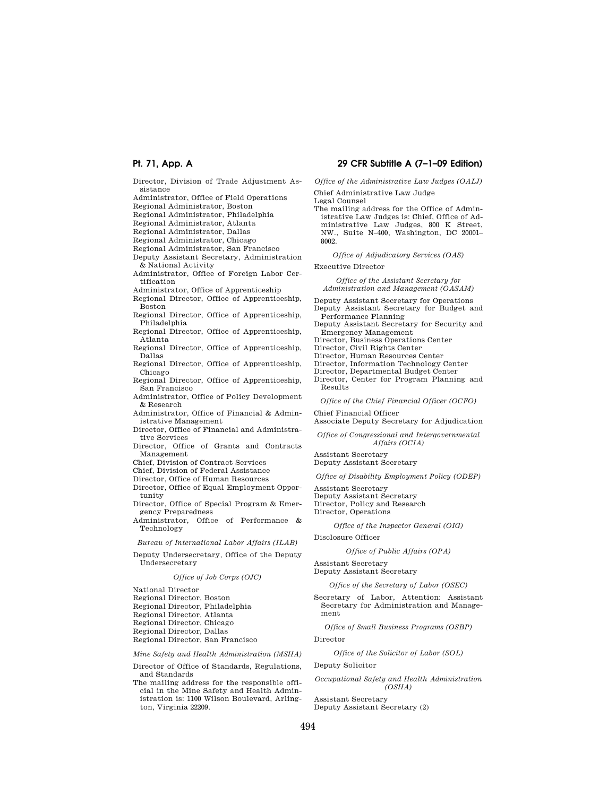Director, Division of Trade Adjustment As-

sistance Administrator, Office of Field Operations

Regional Administrator, Boston

Regional Administrator, Philadelphia

Regional Administrator, Atlanta

Regional Administrator, Dallas

Regional Administrator, Chicago

Regional Administrator, San Francisco Deputy Assistant Secretary, Administration & National Activity

Administrator, Office of Foreign Labor Certification

Administrator, Office of Apprenticeship

Regional Director, Office of Apprenticeship, Boston

- Regional Director, Office of Apprenticeship, Philadelphia
- Regional Director, Office of Apprenticeship, Atlanta

Regional Director, Office of Apprenticeship, Dallas

Regional Director, Office of Apprenticeship, Chicago

Regional Director, Office of Apprenticeship, San Francisco

Administrator, Office of Policy Development & Research

Administrator, Office of Financial & Administrative Management

- Director, Office of Financial and Administrative Services
- Director, Office of Grants and Contracts Management

Chief, Division of Contract Services

Chief, Division of Federal Assistance

Director, Office of Human Resources

Director, Office of Equal Employment Opportunity

Director, Office of Special Program & Emergency Preparedness

Administrator, Office of Performance & Technology

*Bureau of International Labor Affairs (ILAB)* 

Deputy Undersecretary, Office of the Deputy Undersecretary

## *Office of Job Corps (OJC)*

National Director

- Regional Director, Boston
- Regional Director, Philadelphia

Regional Director, Atlanta

- Regional Director, Chicago
- Regional Director, Dallas

Regional Director, San Francisco

*Mine Safety and Health Administration (MSHA)* 

Director of Office of Standards, Regulations, and Standards

The mailing address for the responsible official in the Mine Safety and Health Administration is: 1100 Wilson Boulevard, Arlington, Virginia 22209.

## **Pt. 71, App. A 29 CFR Subtitle A (7–1–09 Edition)**

*Office of the Administrative Law Judges (OALJ)* 

Chief Administrative Law Judge

Legal Counsel

The mailing address for the Office of Administrative Law Judges is: Chief, Office of Administrative Law Judges, 800 K Street, NW., Suite N–400, Washington, DC 20001– 8002.

*Office of Adjudicatory Services (OAS)* 

Executive Director

*Office of the Assistant Secretary for Administration and Management (OASAM)* 

Deputy Assistant Secretary for Operations

Deputy Assistant Secretary for Budget and Performance Planning

Deputy Assistant Secretary for Security and Emergency Management

Director, Business Operations Center

Director, Civil Rights Center

Director, Human Resources Center

Director, Information Technology Center

Director, Departmental Budget Center

Director, Center for Program Planning and Results

*Office of the Chief Financial Officer (OCFO)* 

Chief Financial Officer Associate Deputy Secretary for Adjudication

*Office of Congressional and Intergovernmental Affairs (OCIA)* 

Assistant Secretary Deputy Assistant Secretary

*Office of Disability Employment Policy (ODEP)* 

Assistant Secretary Deputy Assistant Secretary Director, Policy and Research Director, Operations

#### *Office of the Inspector General (OIG)*

Disclosure Officer

## *Office of Public Affairs (OPA)*

Assistant Secretary

Deputy Assistant Secretary

*Office of the Secretary of Labor (OSEC)* 

Secretary of Labor, Attention: Assistant Secretary for Administration and Management

*Office of Small Business Programs (OSBP)* 

#### Director

*Office of the Solicitor of Labor (SOL)* 

Deputy Solicitor

*Occupational Safety and Health Administration (OSHA)* 

Assistant Secretary Deputy Assistant Secretary (2)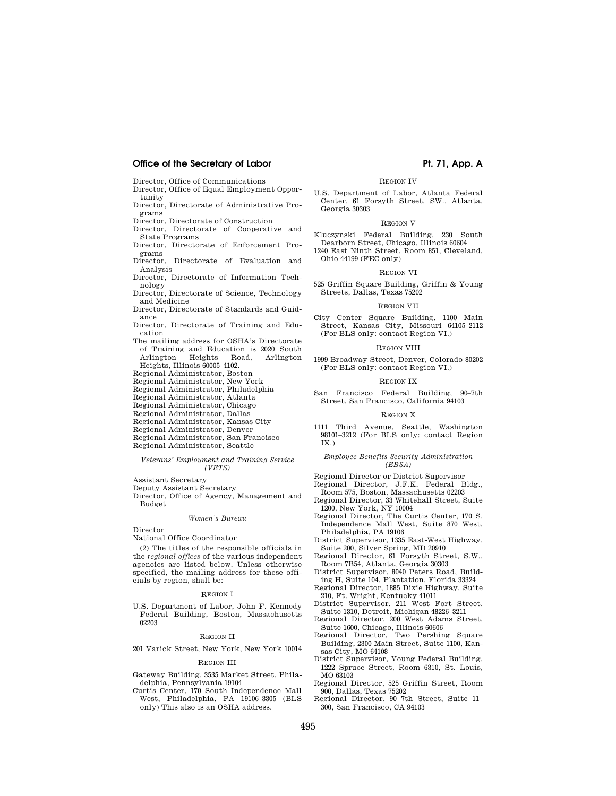Director, Office of Communications

- Director, Office of Equal Employment Opportunity
- Director, Directorate of Administrative Programs
- Director, Directorate of Construction
- Director, Directorate of Cooperative and State Programs
- Director, Directorate of Enforcement Programs
- Director, Directorate of Evaluation and Analysis
- Director, Directorate of Information Technology
- Director, Directorate of Science, Technology and Medicine
- Director, Directorate of Standards and Guidance
- Director, Directorate of Training and Education
- The mailing address for OSHA's Directorate of Training and Education is 2020 South<br>Arlington Heights Road. Arlington Arlington Heights, Illinois 60005–4102.
- Regional Administrator, Boston
- Regional Administrator, New York
- Regional Administrator, Philadelphia
- Regional Administrator, Atlanta
- Regional Administrator, Chicago
- Regional Administrator, Dallas
- Regional Administrator, Kansas City
- Regional Administrator, Denver
- Regional Administrator, San Francisco
- Regional Administrator, Seattle

## *Veterans' Employment and Training Service (VETS)*

- Assistant Secretary
- Deputy Assistant Secretary
- Director, Office of Agency, Management and Budget

#### *Women's Bureau*

Director

National Office Coordinator

(2) The titles of the responsible officials in the *regional offices* of the various independent agencies are listed below. Unless otherwise specified, the mailing address for these officials by region, shall be:

### REGION I

U.S. Department of Labor, John F. Kennedy Federal Building, Boston, Massachusetts 02203

#### REGION II

201 Varick Street, New York, New York 10014

#### REGION III

- Gateway Building, 3535 Market Street, Philadelphia, Pennsylvania 19104
- Curtis Center, 170 South Independence Mall West, Philadelphia, PA 19106–3305 (BLS only) This also is an OSHA address.

# REGION IV

U.S. Department of Labor, Atlanta Federal Center, 61 Forsyth Street, SW., Atlanta, Georgia 30303

## REGION V

Kluczynski Federal Building, 230 South Dearborn Street, Chicago, Illinois 60604

1240 East Ninth Street, Room 851, Cleveland, Ohio 44199 (FEC only)

### REGION VI

525 Griffin Square Building, Griffin & Young Streets, Dallas, Texas 75202

#### REGION VII

City Center Square Building, 1100 Main Street, Kansas City, Missouri 64105–2112 (For BLS only: contact Region VI.)

## REGION VIII

1999 Broadway Street, Denver, Colorado 80202 (For BLS only: contact Region VI.)

#### REGION IX

San Francisco Federal Building, 90–7th Street, San Francisco, California 94103

## REGION X

1111 Third Avenue, Seattle, Washington 98101–3212 (For BLS only: contact Region IX.)

#### *Employee Benefits Security Administration (EBSA)*

Regional Director or District Supervisor

- Regional Director, J.F.K. Federal Bldg., Room 575, Boston, Massachusetts 02203
- Regional Director, 33 Whitehall Street, Suite 1200, New York, NY 10004
- Regional Director, The Curtis Center, 170 S. Independence Mall West, Suite 870 West, Philadelphia, PA 19106
- District Supervisor, 1335 East-West Highway, Suite 200, Silver Spring, MD 20910
- Regional Director, 61 Forsyth Street, S.W., Room 7B54, Atlanta, Georgia 30303
- District Supervisor, 8040 Peters Road, Building H, Suite 104, Plantation, Florida 33324
- Regional Director, 1885 Dixie Highway, Suite 210, Ft. Wright, Kentucky 41011
- District Supervisor, 211 West Fort Street, Suite 1310, Detroit, Michigan 48226–3211
- Regional Director, 200 West Adams Street,
- Suite 1600, Chicago, Illinois 60606 Regional Director, Two Pershing Square Building, 2300 Main Street, Suite 1100, Kansas City, MO 64108
- District Supervisor, Young Federal Building, 1222 Spruce Street, Room 6310, St. Louis, MO 63103
- Regional Director, 525 Griffin Street, Room 900, Dallas, Texas 75202
- Regional Director, 90 7th Street, Suite 11– 300, San Francisco, CA 94103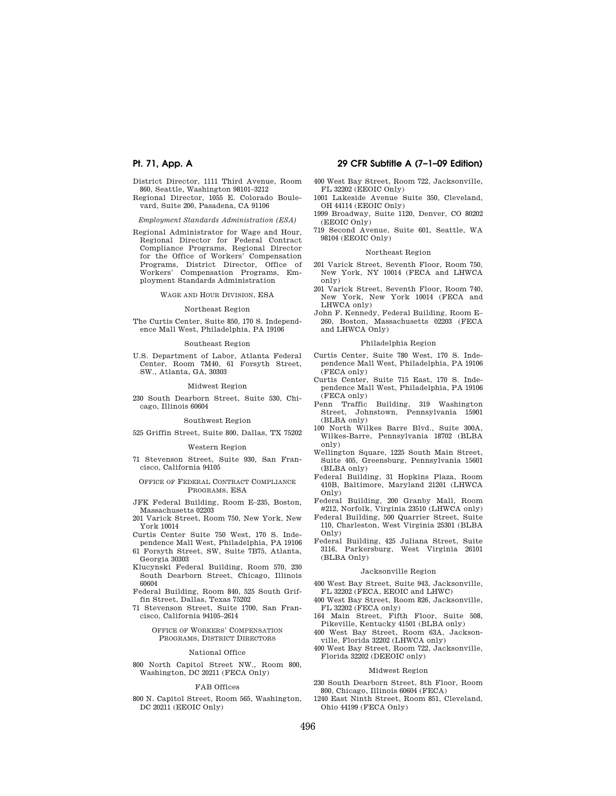- District Director, 1111 Third Avenue, Room 860, Seattle, Washington 98101–3212
- Regional Director, 1055 E. Colorado Boulevard, Suite 200, Pasadena, CA 91106

*Employment Standards Administration (ESA)* 

Regional Administrator for Wage and Hour, Regional Director for Federal Contract Compliance Programs, Regional Director for the Office of Workers' Compensation Programs, District Director, Office of Workers' Compensation Programs, Employment Standards Administration

WAGE AND HOUR DIVISION, ESA

#### Northeast Region

The Curtis Center, Suite 850, 170 S. Independence Mall West, Philadelphia, PA 19106

#### Southeast Region

U.S. Department of Labor, Atlanta Federal Center, Room 7M40, 61 Forsyth Street, SW., Atlanta, GA, 30303

## Midwest Region

230 South Dearborn Street, Suite 530, Chicago, Illinois 60604

## Southwest Region

525 Griffin Street, Suite 800, Dallas, TX 75202

## Western Region

71 Stevenson Street, Suite 930, San Francisco, California 94105

### OFFICE OF FEDERAL CONTRACT COMPLIANCE PROGRAMS, ESA

- JFK Federal Building, Room E–235, Boston, Massachusetts 02203
- 201 Varick Street, Room 750, New York, New York 10014
- Curtis Center Suite 750 West, 170 S. Independence Mall West, Philadelphia, PA 19106
- 61 Forsyth Street, SW, Suite 7B75, Atlanta, Georgia 30303
- Klucynski Federal Building, Room 570, 230 South Dearborn Street, Chicago, Illinois 60604
- Federal Building, Room 840, 525 South Griffin Street, Dallas, Texas 75202
- 71 Stevenson Street, Suite 1700, San Francisco, California 94105–2614

## OFFICE OF WORKERS' COMPENSATION PROGRAMS, DISTRICT DIRECTORS

#### National Office

800 North Capitol Street NW., Room 800, Washington, DC 20211 (FECA Only)

#### FAB Offices

800 N. Capitol Street, Room 565, Washington, DC 20211 (EEOIC Only)

## **Pt. 71, App. A 29 CFR Subtitle A (7–1–09 Edition)**

- 400 West Bay Street, Room 722, Jacksonville, FL 32202 (EEOIC Only)
- 1001 Lakeside Avenue Suite 350, Cleveland, OH 44114 (EEOIC Only)
- 1999 Broadway, Suite 1120, Denver, CO 80202 (EEOIC Only)
- 719 Second Avenue, Suite 601, Seattle, WA 98104 (EEOIC Only)

## Northeast Region

- 201 Varick Street, Seventh Floor, Room 750, New York, NY 10014 (FECA and LHWCA only)
- 201 Varick Street, Seventh Floor, Room 740, New York, New York 10014 (FECA and LHWCA only)
- John F. Kennedy, Federal Building, Room E– 260, Boston, Massachusetts 02203 (FECA and LHWCA Only)

## Philadelphia Region

- Curtis Center, Suite 780 West, 170 S. Independence Mall West, Philadelphia, PA 19106 (FECA only)
- Curtis Center, Suite 715 East, 170 S. Independence Mall West, Philadelphia, PA 19106 (FECA only)
- Penn Traffic Building, 319 Washington Street, Johnstown, Pennsylvania 15901 (BLBA only)
- 100 North Wilkes Barre Blvd., Suite 300A, Wilkes-Barre, Pennsylvania 18702 (BLBA only)
- Wellington Square, 1225 South Main Street, Suite 405, Greensburg, Pennsylvania 15601 (BLBA only)
- Federal Building, 31 Hopkins Plaza, Room 410B, Baltimore, Maryland 21201 (LHWCA Only)
- Federal Building, 200 Granby Mall, Room #212, Norfolk, Virginia 23510 (LHWCA only)
- Federal Building, 500 Quarrier Street, Suite 110, Charleston, West Virginia 25301 (BLBA Only)
- Federal Building, 425 Juliana Street, Suite 3116, Parkersburg, West Virginia 26101 (BLBA Only)

#### Jacksonville Region

- 400 West Bay Street, Suite 943, Jacksonville, FL 32202 (FECA, EEOIC and LHWC)
- 400 West Bay Street, Room 826, Jacksonville, FL 32202 (FECA only)
- 164 Main Street, Fifth Floor, Suite 508, Pikeville, Kentucky 41501 (BLBA only)
- 400 West Bay Street, Room 63A, Jacksonville, Florida 32202 (LHWCA only)
- 400 West Bay Street, Room 722, Jacksonville, Florida 32202 (DEEOIC only)

#### Midwest Region

- 230 South Dearborn Street, 8th Floor, Room 800, Chicago, Illinois 60604 (FECA)
- 1240 East Ninth Street, Room 851, Cleveland, Ohio 44199 (FECA Only)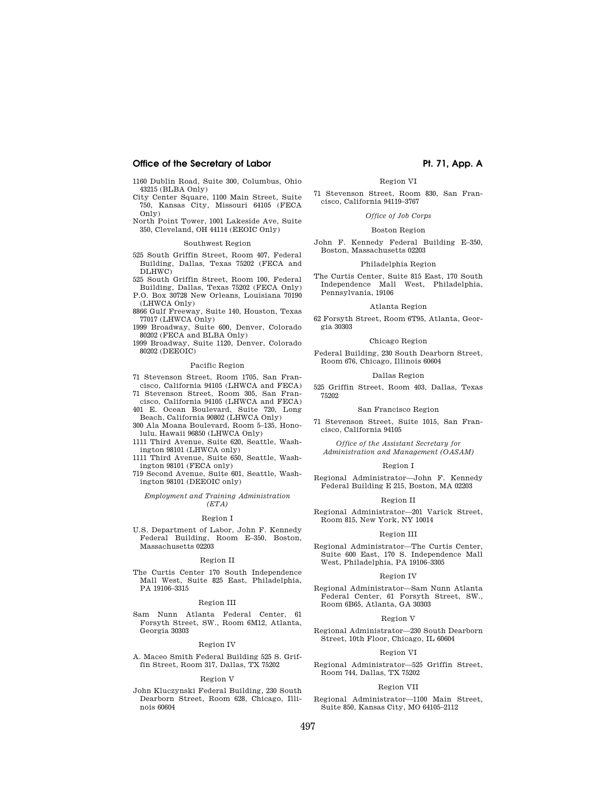1160 Dublin Road, Suite 300, Columbus, Ohio 43215 (BLBA Only)

City Center Square, 1100 Main Street, Suite 750, Kansas City, Missouri 64105 (FECA Only)

North Point Tower, 1001 Lakeside Ave, Suite 350, Cleveland, OH 44114 (EEOIC Only)

## Southwest Region

525 South Griffin Street, Room 407, Federal Building, Dallas, Texas 75202 (FECA and DLHWC)

525 South Griffin Street, Room 100, Federal

Building, Dallas, Texas 75202 (FECA Only) P.O. Box 30728 New Orleans, Louisiana 70190 (LHWCA Only)

8866 Gulf Freeway, Suite 140, Houston, Texas 77017 (LHWCA Only)

1999 Broadway, Suite 600, Denver, Colorado 80202 (FECA and BLBA Only)

1999 Broadway, Suite 1120, Denver, Colorado 80202 (DEEOIC)

## Pacific Region

71 Stevenson Street, Room 1705, San Francisco, California 94105 (LHWCA and FECA)

71 Stevenson Street, Room 305, San Francisco, California 94105 (LHWCA and FECA)

401 E. Ocean Boulevard, Suite 720, Long Beach, California 90802 (LHWCA Only)

300 Ala Moana Boulevard, Room 5–135, Honolulu, Hawaii 96850 (LHWCA Only)

1111 Third Avenue, Suite 620, Seattle, Washington 98101 (LHWCA only)

1111 Third Avenue, Suite 650, Seattle, Washington 98101 (FECA only)

719 Second Avenue, Suite 601, Seattle, Washington 98101 (DEEOIC only)

*Employment and Training Administration (ETA)* 

#### Region I

U.S. Department of Labor, John F. Kennedy Federal Building, Room E–350, Boston, Massachusetts 02203

#### Region II

The Curtis Center 170 South Independence Mall West, Suite 825 East, Philadelphia, PA 19106–3315

## Region III

Sam Nunn Atlanta Federal Center, 61 Forsyth Street, SW., Room 6M12, Atlanta, Georgia 30303

## Region IV

A. Maceo Smith Federal Building 525 S. Griffin Street, Room 317, Dallas, TX 75202

#### Region V

John Kluczynski Federal Building, 230 South Dearborn Street, Room 628, Chicago, Illinois 60604

Region VI 71 Stevenson Street, Room 830, San Francisco, California 94119–3767

## *Office of Job Corps*

#### Boston Region

John F. Kennedy Federal Building E–350, Boston, Massachusetts 02203

## Philadelphia Region

The Curtis Center, Suite 815 East, 170 South Independence Mall West, Philadelphia, Pennsylvania, 19106

#### Atlanta Region

62 Forsyth Street, Room 6T95, Atlanta, Georgia 30303

## Chicago Region

Federal Building, 230 South Dearborn Street, Room 676, Chicago, Illinois 60604

### Dallas Region

525 Griffin Street, Room 403, Dallas, Texas 75202

#### San Francisco Region

71 Stevenson Street, Suite 1015, San Francisco, California 94105

*Office of the Assistant Secretary for Administration and Management (OASAM)* 

#### Region I

Regional Administrator—John F. Kennedy Federal Building E 215, Boston, MA 02203

#### Region II

Regional Administrator—201 Varick Street, Room 815, New York, NY 10014

#### Region III

Regional Administrator—The Curtis Center, Suite 600 East, 170 S. Independence Mall West, Philadelphia, PA 19106–3305

#### Region IV

Regional Administrator—Sam Nunn Atlanta Federal Center, 61 Forsyth Street, SW., Room 6B65, Atlanta, GA 30303

#### Region V

Regional Administrator—230 South Dearborn Street, 10th Floor, Chicago, IL 60604

#### Region V

Regional Administrator—525 Griffin Street, Room 744, Dallas, TX 75202

## Region VII

Regional Administrator—1100 Main Street, Suite 850, Kansas City, MO 64105–2112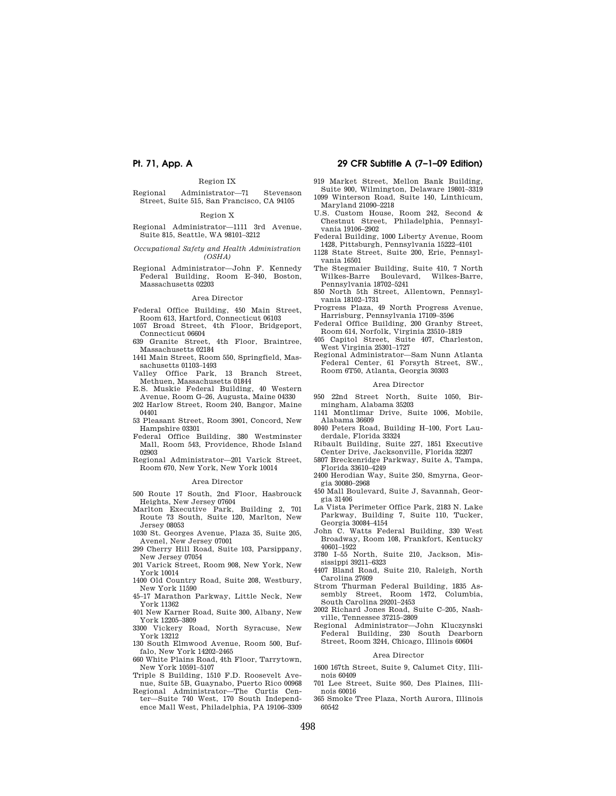## Region IX

Regional Administrator—71 Stevenson Street, Suite 515, San Francisco, CA 94105

## Region X

- Regional Administrator—1111 3rd Avenue, Suite 815, Seattle, WA 98101–3212
- *Occupational Safety and Health Administration (OSHA)*
- Regional Administrator—John F. Kennedy Federal Building, Room E–340, Boston, Massachusetts 02203

#### Area Director

- Federal Office Building, 450 Main Street, Room 613, Hartford, Connecticut 06103
- 1057 Broad Street, 4th Floor, Bridgeport, Connecticut 06604<br>639 Granite Street,
- 4th Floor, Braintree, Massachusetts 02184
- 1441 Main Street, Room 550, Springfield, Massachusetts 01103–1493
- Valley Office Park, 13 Branch Street, Methuen, Massachusetts 01844
- E.S. Muskie Federal Building, 40 Western Avenue, Room G–26, Augusta, Maine 04330
- 202 Harlow Street, Room 240, Bangor, Maine 04401
- 53 Pleasant Street, Room 3901, Concord, New Hampshire 03301
- Federal Office Building, 380 Westminster Mall, Room 543, Providence, Rhode Island 02903
- Regional Administrator—201 Varick Street, Room 670, New York, New York 10014

## Area Director

- 500 Route 17 South, 2nd Floor, Hasbrouck Heights, New Jersey 07604
- Marlton Executive Park, Building 2, 701 Route 73 South, Suite 120, Marlton, New Jersey 08053
- 1030 St. Georges Avenue, Plaza 35, Suite 205, Avenel, New Jersey 07001
- 299 Cherry Hill Road, Suite 103, Parsippany, New Jersey 07054
- 201 Varick Street, Room 908, New York, New York 10014
- 1400 Old Country Road, Suite 208, Westbury, New York 11590
- 45–17 Marathon Parkway, Little Neck, New York 11362
- 401 New Karner Road, Suite 300, Albany, New York 12205–3809
- 3300 Vickery Road, North Syracuse, New York 13212
- 130 South Elmwood Avenue, Room 500, Buffalo, New York 14202–2465
- 660 White Plains Road, 4th Floor, Tarrytown, New York 10591–5107
- Triple S Building, 1510 F.D. Roosevelt Avenue, Suite 5B, Guaynabo, Puerto Rico 00968
- Regional Administrator—The Curtis Center—Suite 740 West, 170 South Independence Mall West, Philadelphia, PA 19106–3309

## **Pt. 71, App. A 29 CFR Subtitle A (7–1–09 Edition)**

- 919 Market Street, Mellon Bank Building, Suite 900, Wilmington, Delaware 19801–3319 1099 Winterson Road, Suite 140, Linthicum, Maryland 21090–2218
- U.S. Custom House, Room 242, Second & Chestnut Street, Philadelphia, Pennsylvania 19106–2902
- Federal Building, 1000 Liberty Avenue, Room 1428, Pittsburgh, Pennsylvania 15222–4101
- 1128 State Street, Suite 200, Erie, Pennsylvania 16501
- The Stegmaier Building, Suite 410, 7 North Wilkes-Barre, Pennsylvania 18702–5241
- 850 North 5th Street, Allentown, Pennsylvania 18102–1731
- Progress Plaza, 49 North Progress Avenue, Harrisburg, Pennsylvania 17109–3596
- Federal Office Building, 200 Granby Street, Room 614, Norfolk, Virginia 23510–1819
- 405 Capitol Street, Suite 407, Charleston, West Virginia 25301–1727
- Regional Administrator—Sam Nunn Atlanta Federal Center, 61 Forsyth Street, SW., Room 6T50, Atlanta, Georgia 30303

### Area Director

- 950 22nd Street North, Suite 1050, Birmingham, Alabama 35203
- 1141 Montlimar Drive, Suite 1006, Mobile, Alabama 36609
- 8040 Peters Road, Building H–100, Fort Lauderdale, Florida 33324
- Ribault Building, Suite 227, 1851 Executive Center Drive, Jacksonville, Florida 32207
- 5807 Breckenridge Parkway, Suite A, Tampa, Florida 33610–4249
- 2400 Herodian Way, Suite 250, Smyrna, Georgia 30080–2968
- 450 Mall Boulevard, Suite J, Savannah, Georgia 31406
- La Vista Perimeter Office Park, 2183 N. Lake Parkway, Building 7, Suite 110, Tucker, Georgia 30084–4154
- John C. Watts Federal Building, 330 West Broadway, Room 108, Frankfort, Kentucky 40601–1922
- 3780 I–55 North, Suite 210, Jackson, Mississippi 39211–6323
- 4407 Bland Road, Suite 210, Raleigh, North Carolina 27609
- Strom Thurman Federal Building, 1835 Assembly Street, Room 1472, Columbia, South Carolina 29201–2453
- 2002 Richard Jones Road, Suite C–205, Nashville, Tennessee 37215–2809
- Regional Administrator—John Kluczynski Federal Building, 230 South Dearborn Street, Room 3244, Chicago, Illinois 60604

## Area Director

- 1600 167th Street, Suite 9, Calumet City, Illinois 60409
- 701 Lee Street, Suite 950, Des Plaines, Illinois 60016
- 365 Smoke Tree Plaza, North Aurora, Illinois 60542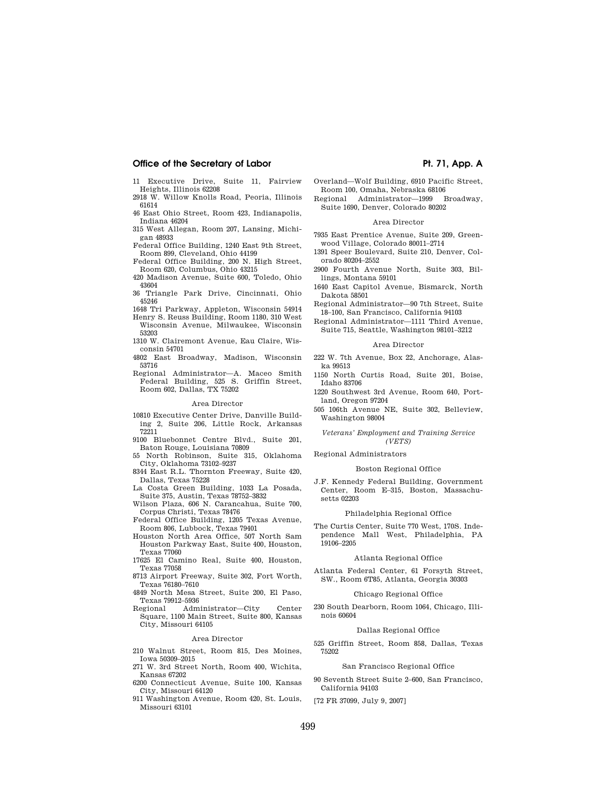- 11 Executive Drive, Suite 11, Fairview Heights, Illinois 62208 2918 W. Willow Knolls Road, Peoria, Illinois
- 61614
- 46 East Ohio Street, Room 423, Indianapolis, Indiana 46204
- 315 West Allegan, Room 207, Lansing, Michigan 48933
- Federal Office Building, 1240 East 9th Street, Room 899, Cleveland, Ohio 44199
- Federal Office Building, 200 N. High Street, Room 620, Columbus, Ohio 43215
- 420 Madison Avenue, Suite 600, Toledo, Ohio 43604
- 36 Triangle Park Drive, Cincinnati, Ohio 45246
- 1648 Tri Parkway, Appleton, Wisconsin 54914
- Henry S. Reuss Building, Room 1180, 310 West Wisconsin Avenue, Milwaukee, Wisconsin 53203
- 1310 W. Clairemont Avenue, Eau Claire, Wisconsin 54701
- 4802 East Broadway, Madison, Wisconsin 53716
- Regional Administrator—A. Maceo Smith Federal Building, 525 S. Griffin Street, Room 602, Dallas, TX 75202

#### Area Director

- 10810 Executive Center Drive, Danville Building 2, Suite 206, Little Rock, Arkansas 72211
- 9100 Bluebonnet Centre Blvd., Suite 201, Baton Rouge, Louisiana 70809
- 55 North Robinson, Suite 315, Oklahoma City, Oklahoma 73102–9237
- 8344 East R.L. Thornton Freeway, Suite 420, Dallas, Texas 75228
- La Costa Green Building, 1033 La Posada, Suite 375, Austin, Texas 78752–3832
- Wilson Plaza, 606 N. Carancahua, Suite 700, Corpus Christi, Texas 78476
- Federal Office Building, 1205 Texas Avenue, Room 806, Lubbock, Texas 79401
- Houston North Area Office, 507 North Sam Houston Parkway East, Suite 400, Houston, Texas 77060
- 17625 El Camino Real, Suite 400, Houston, Texas 77058
- 8713 Airport Freeway, Suite 302, Fort Worth, Texas 76180–7610
- 4849 North Mesa Street, Suite 200, El Paso, Texas 79912–5936
- Regional Administrator—City Center Square, 1100 Main Street, Suite 800, Kansas City, Missouri 64105

## Area Director

- 210 Walnut Street, Room 815, Des Moines, Iowa 50309–2015
- 271 W. 3rd Street North, Room 400, Wichita, Kansas 67202
- 6200 Connecticut Avenue, Suite 100, Kansas City, Missouri 64120
- 911 Washington Avenue, Room 420, St. Louis, Missouri 63101
- Overland—Wolf Building, 6910 Pacific Street, Room 100, Omaha, Nebraska 68106
- Regional Administrator—1999 Broadway, Suite 1690, Denver, Colorado 80202

## Area Director

- 7935 East Prentice Avenue, Suite 209, Greenwood Village, Colorado 80011–2714
- 1391 Speer Boulevard, Suite 210, Denver, Colorado 80204–2552
- 2900 Fourth Avenue North, Suite 303, Billings, Montana 59101
- 1640 East Capitol Avenue, Bismarck, North Dakota 58501
- Regional Administrator—90 7th Street, Suite 18–100, San Francisco, California 94103
- Regional Administrator—1111 Third Avenue, Suite 715, Seattle, Washington 98101–3212

#### Area Director

- 222 W. 7th Avenue, Box 22, Anchorage, Alaska 99513
- 1150 North Curtis Road, Suite 201, Boise, Idaho 83706
- 1220 Southwest 3rd Avenue, Room 640, Portland, Oregon 97204
- 505 106th Avenue NE, Suite 302, Belleview, Washington 98004

## *Veterans' Employment and Training Service (VETS)*

## Regional Administrators

## Boston Regional Office

J.F. Kennedy Federal Building, Government Center, Room E–315, Boston, Massachusetts 02203

## Philadelphia Regional Office

The Curtis Center, Suite 770 West, 170S. Independence Mall West, Philadelphia, PA 19106–2205

#### Atlanta Regional Office

Atlanta Federal Center, 61 Forsyth Street, SW., Room 6T85, Atlanta, Georgia 30303

### Chicago Regional Office

230 South Dearborn, Room 1064, Chicago, Illinois 60604

## Dallas Regional Office

525 Griffin Street, Room 858, Dallas, Texas 75202

## San Francisco Regional Office

90 Seventh Street Suite 2–600, San Francisco, California 94103

[72 FR 37099, July 9, 2007]